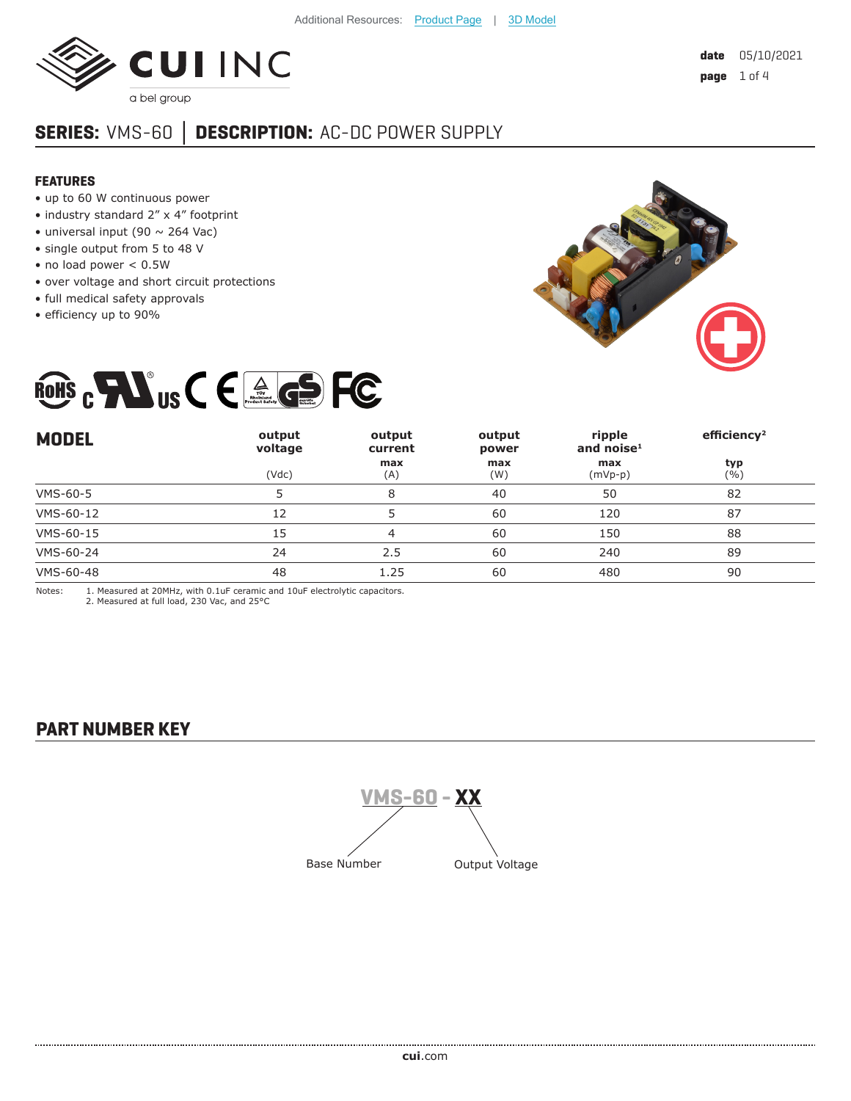

# **SERIES:** VMS-60 **│ DESCRIPTION:** AC-DC POWER SUPPLY

#### **FEATURES**

- up to 60 W continuous power
- industry standard 2" x 4" footprint
- universal input (90  $\sim$  264 Vac)
- single output from 5 to 48 V
- no load power < 0.5W
- over voltage and short circuit protections
- full medical safety approvals
- efficiency up to 90%





| <b>MODEL</b> | output<br>voltage | output<br>current | output<br>power | ripple<br>and noise $1$ | efficiency <sup>2</sup> |
|--------------|-------------------|-------------------|-----------------|-------------------------|-------------------------|
|              | (Vdc)             | max<br>(A)        | max<br>(W)      | max<br>$(mVp-p)$        | typ<br>(%)              |
| VMS-60-5     |                   | 8                 | 40              | 50                      | 82                      |
| VMS-60-12    | 12                |                   | 60              | 120                     | 87                      |
| VMS-60-15    | 15                | 4                 | 60              | 150                     | 88                      |
| VMS-60-24    | 24                | 2.5               | 60              | 240                     | 89                      |
| VMS-60-48    | 48                | 1.25              | 60              | 480                     | 90                      |

Notes: 1. Measured at 20MHz, with 0.1uF ceramic and 10uF electrolytic capacitors. 2. Measured at full load, 230 Vac, and 25°C

### **PART NUMBER KEY**

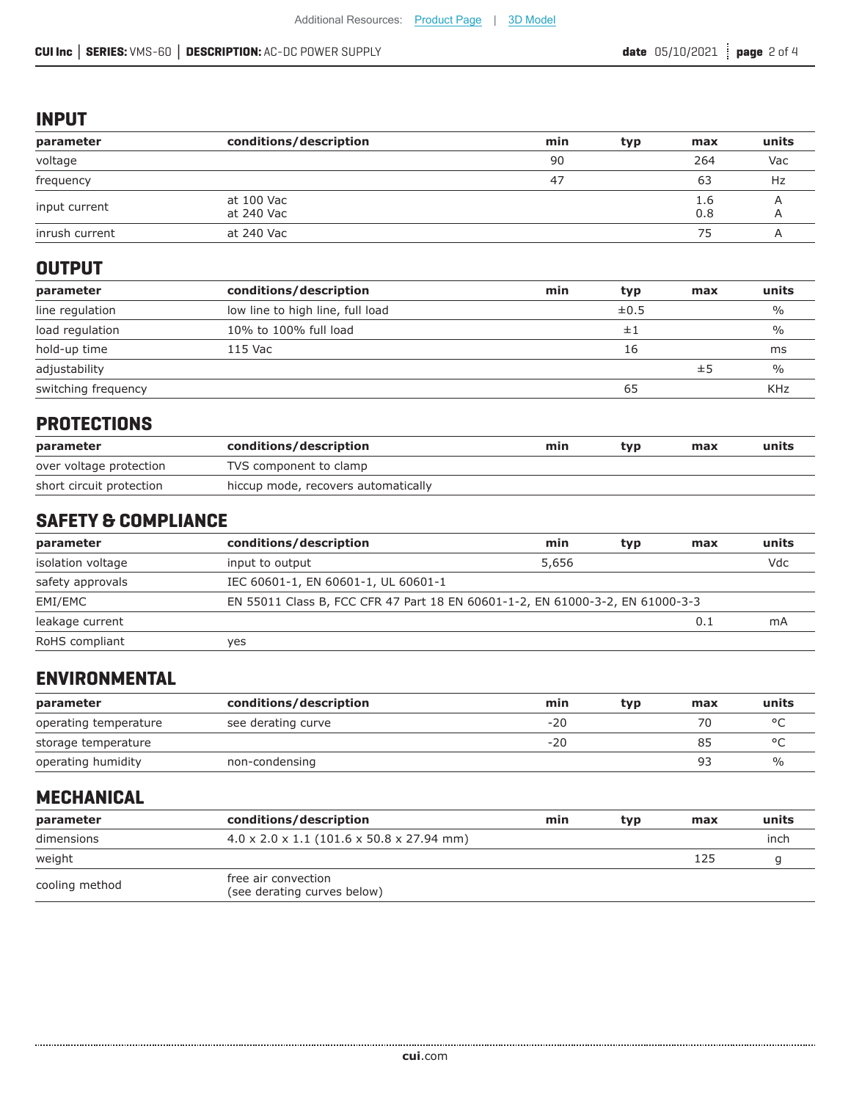#### **INPUT**

| parameter      | conditions/description   | min | typ | max        | units |
|----------------|--------------------------|-----|-----|------------|-------|
| voltage        |                          | 90  |     | 264        | Vac   |
| frequency      |                          | 47  |     | 63         | Hz    |
| input current  | at 100 Vac<br>at 240 Vac |     |     | 1.6<br>0.8 |       |
| inrush current | at 240 Vac               |     |     | 75         |       |

# **OUTPUT**

| parameter           | conditions/description           | min | typ       | max | units         |
|---------------------|----------------------------------|-----|-----------|-----|---------------|
| line regulation     | low line to high line, full load |     | $\pm 0.5$ |     | $\frac{0}{0}$ |
| load regulation     | 10% to 100% full load            |     | ±1        |     | $\frac{0}{0}$ |
| hold-up time        | 115 Vac                          |     | 16        |     | ms            |
| adjustability       |                                  |     |           | ±5  | $\frac{0}{0}$ |
| switching frequency |                                  |     | 65        |     | <b>KHz</b>    |

### **PROTECTIONS**

| parameter                | conditions/description              | min | tvp | max | units |
|--------------------------|-------------------------------------|-----|-----|-----|-------|
| over voltage protection  | TVS component to clamp              |     |     |     |       |
| short circuit protection | hiccup mode, recovers automatically |     |     |     |       |

# **SAFETY & COMPLIANCE**

| parameter         | conditions/description                                                        | min   | typ | max | units |
|-------------------|-------------------------------------------------------------------------------|-------|-----|-----|-------|
| isolation voltage | input to output                                                               | 5,656 |     |     | Vdc   |
| safety approvals  | IEC 60601-1, EN 60601-1, UL 60601-1                                           |       |     |     |       |
| EMI/EMC           | EN 55011 Class B, FCC CFR 47 Part 18 EN 60601-1-2, EN 61000-3-2, EN 61000-3-3 |       |     |     |       |
| leakage current   |                                                                               |       |     | 0.1 | mA    |
| RoHS compliant    | ves                                                                           |       |     |     |       |

# **ENVIRONMENTAL**

| parameter             | conditions/description | min   | tvp | max | units         |
|-----------------------|------------------------|-------|-----|-----|---------------|
| operating temperature | see derating curve     | $-20$ |     | 70  |               |
| storage temperature   |                        | $-20$ |     | 85  |               |
| operating humidity    | non-condensing         |       |     | 93  | $\frac{0}{0}$ |

### **MECHANICAL**

| parameter      | conditions/description                                | min | typ | max | units |
|----------------|-------------------------------------------------------|-----|-----|-----|-------|
| dimensions     | $4.0 \times 2.0 \times 1.1$ (101.6 x 50.8 x 27.94 mm) |     |     |     | inch  |
| weight         |                                                       |     |     | 125 |       |
| cooling method | free air convection<br>(see derating curves below)    |     |     |     |       |

..................................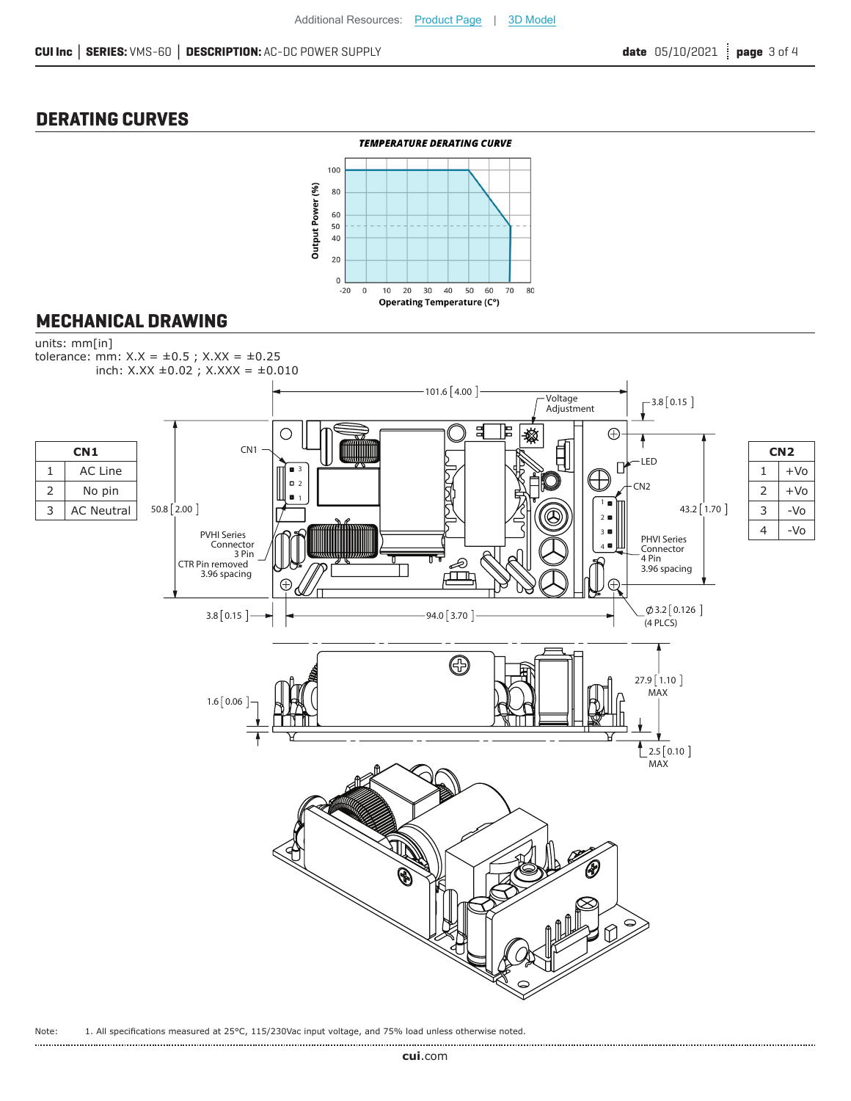## **DERATING CURVES**



### **MECHANICAL DRAWING**



Note: 1. All specifications measured at 25°C, 115/230Vac input voltage, and 75% load unless otherwise noted.